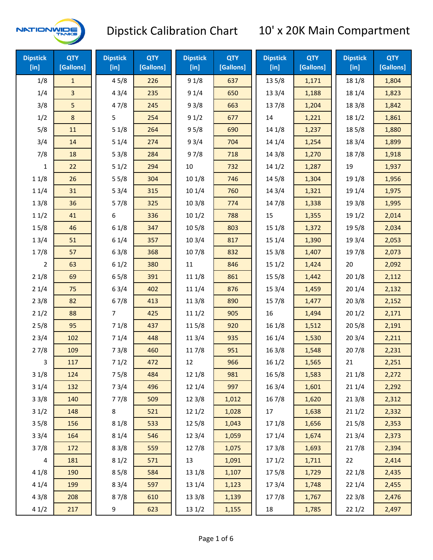

| <b>Dipstick</b><br>[in] | <b>QTY</b><br>[Gallons] | <b>Dipstick</b><br>$[$ in] | <b>QTY</b><br>[Gallons] | <b>Dipstick</b><br>[in] | <b>QTY</b><br>[Gallons] | <b>Dipstick</b><br>[in] | <b>QTY</b><br>[Gallons] | <b>Dipstick</b><br>[in] | <b>QTY</b><br>[Gallons] |
|-------------------------|-------------------------|----------------------------|-------------------------|-------------------------|-------------------------|-------------------------|-------------------------|-------------------------|-------------------------|
| 1/8                     | $\mathbf{1}$            | 45/8                       | 226                     | 91/8                    | 637                     | 135/8                   | 1,171                   | 18 1/8                  | 1,804                   |
| 1/4                     | 3                       | 43/4                       | 235                     | 91/4                    | 650                     | 13 3/4                  | 1,188                   | 18 1/4                  | 1,823                   |
| 3/8                     | 5                       | 47/8                       | 245                     | 93/8                    | 663                     | 137/8                   | 1,204                   | 18 3/8                  | 1,842                   |
| 1/2                     | 8                       | 5                          | 254                     | 91/2                    | 677                     | 14                      | 1,221                   | 18 1/2                  | 1,861                   |
| 5/8                     | 11                      | 51/8                       | 264                     | 95/8                    | 690                     | 14 1/8                  | 1,237                   | 185/8                   | 1,880                   |
| 3/4                     | 14                      | 51/4                       | 274                     | 93/4                    | 704                     | 14 1/4                  | 1,254                   | 18 3/4                  | 1,899                   |
| 7/8                     | 18                      | 53/8                       | 284                     | 97/8                    | 718                     | 14 3/8                  | 1,270                   | 187/8                   | 1,918                   |
| 1                       | 22                      | 51/2                       | 294                     | $10\,$                  | 732                     | 141/2                   | 1,287                   | 19                      | 1,937                   |
| 11/8                    | 26                      | 55/8                       | 304                     | 101/8                   | 746                     | 145/8                   | 1,304                   | 19 1/8                  | 1,956                   |
| 11/4                    | 31                      | 53/4                       | 315                     | 101/4                   | 760                     | 14 3/4                  | 1,321                   | 19 1/4                  | 1,975                   |
| 13/8                    | 36                      | 57/8                       | 325                     | 103/8                   | 774                     | 147/8                   | 1,338                   | 19 3/8                  | 1,995                   |
| 11/2                    | 41                      | 6                          | 336                     | 101/2                   | 788                     | 15                      | 1,355                   | 19 1/2                  | 2,014                   |
| 15/8                    | 46                      | 61/8                       | 347                     | 10 <sub>5</sub> /8      | 803                     | 151/8                   | 1,372                   | 195/8                   | 2,034                   |
| 13/4                    | 51                      | 61/4                       | 357                     | 103/4                   | 817                     | 15 1/4                  | 1,390                   | 19 3/4                  | 2,053                   |
| 17/8                    | 57                      | 63/8                       | 368                     | 107/8                   | 832                     | 153/8                   | 1,407                   | 197/8                   | 2,073                   |
| 2                       | 63                      | 61/2                       | 380                     | 11                      | 846                     | 151/2                   | 1,424                   | 20                      | 2,092                   |
| 21/8                    | 69                      | 65/8                       | 391                     | 11 1/8                  | 861                     | 15 5/8                  | 1,442                   | 201/8                   | 2,112                   |
| 21/4                    | 75                      | 63/4                       | 402                     | 11 1/4                  | 876                     | 153/4                   | 1,459                   | 201/4                   | 2,132                   |
| 23/8                    | 82                      | 67/8                       | 413                     | 11 3/8                  | 890                     | 15 7/8                  | 1,477                   | 203/8                   | 2,152                   |
| 21/2                    | 88                      | $\overline{7}$             | 425                     | 111/2                   | 905                     | 16                      | 1,494                   | 201/2                   | 2,171                   |
| 25/8                    | 95                      | 71/8                       | 437                     | 11 5/8                  | 920                     | 16 1/8                  | 1,512                   | 205/8                   | 2,191                   |
| 23/4                    | 102                     | 71/4                       | 448                     | 11 3/4                  | 935                     | 16 1/4                  | 1,530                   | 203/4                   | 2,211                   |
| 27/8                    | 109                     | 73/8                       | 460                     | 11 7/8                  | 951                     | 16 3/8                  | 1,548                   | 207/8                   | 2,231                   |
| 3                       | 117                     | 71/2                       | 472                     | 12                      | 966                     | 161/2                   | 1,565                   | 21                      | 2,251                   |
| 31/8                    | 124                     | 75/8                       | 484                     | 12 1/8                  | 981                     | 16 5/8                  | 1,583                   | 211/8                   | 2,272                   |
| 31/4                    | 132                     | 73/4                       | 496                     | 12 1/4                  | 997                     | 163/4                   | 1,601                   | 211/4                   | 2,292                   |
| 33/8                    | 140                     | 77/8                       | 509                     | 12 3/8                  | 1,012                   | 16 7/8                  | 1,620                   | 213/8                   | 2,312                   |
| 31/2                    | 148                     | 8                          | 521                     | 12 1/2                  | 1,028                   | 17                      | 1,638                   | 211/2                   | 2,332                   |
| 35/8                    | 156                     | 81/8                       | 533                     | 125/8                   | 1,043                   | 17 1/8                  | 1,656                   | 215/8                   | 2,353                   |
| 33/4                    | 164                     | 81/4                       | 546                     | 12 3/4                  | 1,059                   | 17 1/4                  | 1,674                   | 213/4                   | 2,373                   |
| 37/8                    | 172                     | 83/8                       | 559                     | 127/8                   | 1,075                   | 173/8                   | 1,693                   | 217/8                   | 2,394                   |
| $\overline{\mathbf{4}}$ | 181                     | 81/2                       | 571                     | 13                      | 1,091                   | 171/2                   | 1,711                   | 22                      | 2,414                   |
| 41/8                    | 190                     | 85/8                       | 584                     | 13 1/8                  | 1,107                   | 175/8                   | 1,729                   | 221/8                   | 2,435                   |
| 41/4                    | 199                     | 83/4                       | 597                     | 13 1/4                  | 1,123                   | 17 3/4                  | 1,748                   | 221/4                   | 2,455                   |
| 43/8                    | 208                     | 87/8                       | 610                     | 13 3/8                  | 1,139                   | 177/8                   | 1,767                   | 223/8                   | 2,476                   |
| 41/2                    | 217                     | 9                          | 623                     | 13 1/2                  | 1,155                   | 18                      | 1,785                   | 221/2                   | 2,497                   |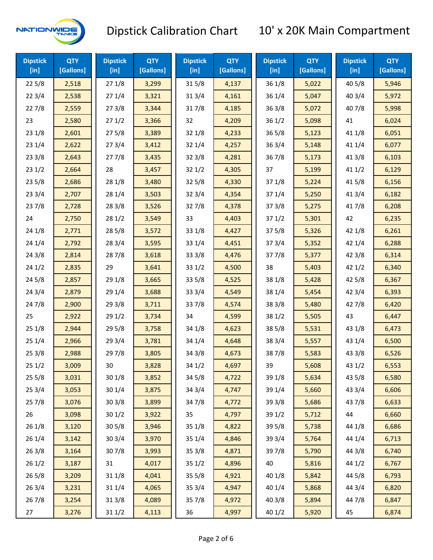

| <b>Dipstick</b><br>$[$ in] | <b>QTY</b><br>[Gallons] | <b>Dipstick</b><br>$[$ in] | <b>QTY</b><br>[Gallons] | <b>Dipstick</b><br>$[$ in] | <b>QTY</b><br>[Gallons] | <b>Dipstick</b><br>$[$ in] | <b>QTY</b><br>[Gallons] | <b>Dipstick</b><br>$[$ in] | <b>QTY</b><br>[Gallons] |
|----------------------------|-------------------------|----------------------------|-------------------------|----------------------------|-------------------------|----------------------------|-------------------------|----------------------------|-------------------------|
| 225/8                      | 2,518                   | 271/8                      | 3,299                   | 315/8                      | 4,137                   | 36 1/8                     | 5,022                   | 40 5/8                     | 5,946                   |
| 223/4                      | 2,538                   | 271/4                      | 3,321                   | 31 3/4                     | 4,161                   | 36 1/4                     | 5,047                   | 40 3/4                     | 5,972                   |
| 227/8                      | 2,559                   | 273/8                      | 3,344                   | 317/8                      | 4,185                   | 363/8                      | 5,072                   | 407/8                      | 5,998                   |
| 23                         | 2,580                   | 271/2                      | 3,366                   | 32                         | 4,209                   | 361/2                      | 5,098                   | 41                         | 6,024                   |
| 231/8                      | 2,601                   | 275/8                      | 3,389                   | 32 1/8                     | 4,233                   | 365/8                      | 5,123                   | 41 1/8                     | 6,051                   |
| 231/4                      | 2,622                   | 273/4                      | 3,412                   | 32 1/4                     | 4,257                   | 363/4                      | 5,148                   | 41 1/4                     | 6,077                   |
| 233/8                      | 2,643                   | 277/8                      | 3,435                   | 32 3/8                     | 4,281                   | 367/8                      | 5,173                   | 41 3/8                     | 6,103                   |
| 231/2                      | 2,664                   | 28                         | 3,457                   | 321/2                      | 4,305                   | 37                         | 5,199                   | 411/2                      | 6,129                   |
| 235/8                      | 2,686                   | 28 1/8                     | 3,480                   | 325/8                      | 4,330                   | 371/8                      | 5,224                   | 41 5/8                     | 6,156                   |
| 233/4                      | 2,707                   | 28 1/4                     | 3,503                   | 32 3/4                     | 4,354                   | 37 1/4                     | 5,250                   | 41 3/4                     | 6,182                   |
| 237/8                      | 2,728                   | 28 3/8                     | 3,526                   | 327/8                      | 4,378                   | 37 3/8                     | 5,275                   | 417/8                      | 6,208                   |
| 24                         | 2,750                   | 28 1/2                     | 3,549                   | 33                         | 4,403                   | 371/2                      | 5,301                   | 42                         | 6,235                   |
| 24 1/8                     | 2,771                   | 28 5/8                     | 3,572                   | 33 1/8                     | 4,427                   | 375/8                      | 5,326                   | 42 1/8                     | 6,261                   |
| 241/4                      | 2,792                   | 283/4                      | 3,595                   | 33 1/4                     | 4,451                   | 373/4                      | 5,352                   | 42 1/4                     | 6,288                   |
| 243/8                      | 2,814                   | 287/8                      | 3,618                   | 33 3/8                     | 4,476                   | 377/8                      | 5,377                   | 42 3/8                     | 6,314                   |
| 241/2                      | 2,835                   | 29                         | 3,641                   | 331/2                      | 4,500                   | 38                         | 5,403                   | 421/2                      | 6,340                   |
| 245/8                      | 2,857                   | 29 1/8                     | 3,665                   | 33 5/8                     | 4,525                   | 38 1/8                     | 5,428                   | 42 5/8                     | 6,367                   |
| 243/4                      | 2,879                   | 29 1/4                     | 3,688                   | 33 3/4                     | 4,549                   | 38 1/4                     | 5,454                   | 42 3/4                     | 6,393                   |
| 24 7/8                     | 2,900                   | 293/8                      | 3,711                   | 337/8                      | 4,574                   | 38 3/8                     | 5,480                   | 42 7/8                     | 6,420                   |
| 25                         | 2,922                   | 291/2                      | 3,734                   | 34                         | 4,599                   | 38 1/2                     | 5,505                   | 43                         | 6,447                   |
| 251/8                      | 2,944                   | 29 5/8                     | 3,758                   | 34 1/8                     | 4,623                   | 38 5/8                     | 5,531                   | 43 1/8                     | 6,473                   |
| 251/4                      | 2,966                   | 29 3/4                     | 3,781                   | 34 1/4                     | 4,648                   | 38 3/4                     | 5,557                   | 43 1/4                     | 6,500                   |
| 253/8                      | 2,988                   | 297/8                      | 3,805                   | 34 3/8                     | 4,673                   | 387/8                      | 5,583                   | 43 3/8                     | 6,526                   |
| 251/2                      | 3,009                   | 30                         | 3,828                   | 34 1/2                     | 4,697                   | 39                         | 5,608                   | 43 1/2                     | 6,553                   |
| 255/8                      | 3,031                   | 301/8                      | 3,852                   | 34 5/8                     | 4,722                   | 39 1/8                     | 5,634                   | 43 5/8                     | 6,580                   |
| 253/4                      | 3,053                   | 30 1/4                     | 3,875                   | 34 3/4                     | 4,747                   | 39 1/4                     | 5,660                   | 43 3/4                     | 6,606                   |
| 257/8                      | 3,076                   | 303/8                      | 3,899                   | 347/8                      | 4,772                   | 39 3/8                     | 5,686                   | 437/8                      | 6,633                   |
| 26                         | 3,098                   | 301/2                      | 3,922                   | 35                         | 4,797                   | 39 1/2                     | 5,712                   | 44                         | 6,660                   |
| 261/8                      | 3,120                   | 305/8                      | 3,946                   | 35 1/8                     | 4,822                   | 39 5/8                     | 5,738                   | 44 1/8                     | 6,686                   |
| 26 1/4                     | 3,142                   | 30 3/4                     | 3,970                   | 35 1/4                     | 4,846                   | 39 3/4                     | 5,764                   | 44 1/4                     | 6,713                   |
| 263/8                      | 3,164                   | 307/8                      | 3,993                   | 35 3/8                     | 4,871                   | 397/8                      | 5,790                   | 44 3/8                     | 6,740                   |
| 261/2                      | 3,187                   | 31                         | 4,017                   | 351/2                      | 4,896                   | 40                         | 5,816                   | 44 1/2                     | 6,767                   |
| 265/8                      | 3,209                   | 31 1/8                     | 4,041                   | 35 5/8                     | 4,921                   | 40 1/8                     | 5,842                   | 44 5/8                     | 6,793                   |
| 263/4                      | 3,231                   | 31 1/4                     | 4,065                   | 35 3/4                     | 4,947                   | 40 1/4                     | 5,868                   | 44 3/4                     | 6,820                   |
| 267/8                      | 3,254                   | 31 3/8                     | 4,089                   | 35 7/8                     | 4,972                   | 40 3/8                     | 5,894                   | 447/8                      | 6,847                   |
| 27                         | 3,276                   | 31 1/2                     | 4,113                   | 36                         | 4,997                   | 40 1/2                     | 5,920                   | 45                         | 6,874                   |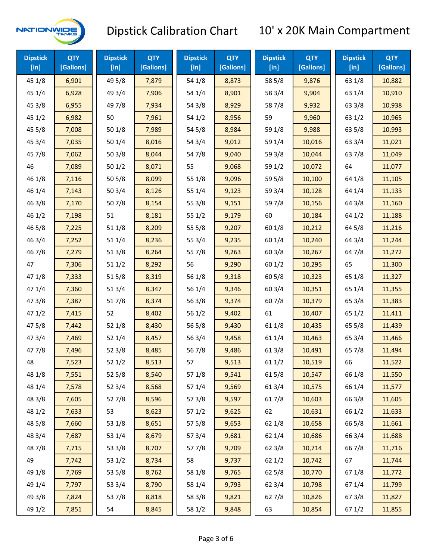

| <b>Dipstick</b><br>$[$ in] | <b>QTY</b><br>[Gallons] | <b>Dipstick</b><br>$[$ in] | <b>QTY</b><br>[Gallons] | <b>Dipstick</b><br>$[$ in] | <b>QTY</b><br>[Gallons] | <b>Dipstick</b><br>$[$ in] | <b>QTY</b><br>[Gallons] | <b>Dipstick</b><br>[in] | <b>QTY</b><br>[Gallons] |
|----------------------------|-------------------------|----------------------------|-------------------------|----------------------------|-------------------------|----------------------------|-------------------------|-------------------------|-------------------------|
| 45 1/8                     | 6,901                   | 49 5/8                     | 7,879                   | 54 1/8                     | 8,873                   | 58 5/8                     | 9,876                   | 63 1/8                  | 10,882                  |
| 45 1/4                     | 6,928                   | 49 3/4                     | 7,906                   | 54 1/4                     | 8,901                   | 58 3/4                     | 9,904                   | 63 1/4                  | 10,910                  |
| 45 3/8                     | 6,955                   | 49 7/8                     | 7,934                   | 54 3/8                     | 8,929                   | 587/8                      | 9,932                   | 63 3/8                  | 10,938                  |
| 451/2                      | 6,982                   | 50                         | 7,961                   | 54 1/2                     | 8,956                   | 59                         | 9,960                   | 63 1/2                  | 10,965                  |
| 45 5/8                     | 7,008                   | 501/8                      | 7,989                   | 54 5/8                     | 8,984                   | 59 1/8                     | 9,988                   | 63 5/8                  | 10,993                  |
| 45 3/4                     | 7,035                   | 501/4                      | 8,016                   | 54 3/4                     | 9,012                   | 59 1/4                     | 10,016                  | 63 3/4                  | 11,021                  |
| 45 7/8                     | 7,062                   | 503/8                      | 8,044                   | 547/8                      | 9,040                   | 59 3/8                     | 10,044                  | 637/8                   | 11,049                  |
| 46                         | 7,089                   | 501/2                      | 8,071                   | 55                         | 9,068                   | 59 1/2                     | 10,072                  | 64                      | 11,077                  |
| 46 1/8                     | 7,116                   | 505/8                      | 8,099                   | 55 1/8                     | 9,096                   | 59 5/8                     | 10,100                  | 64 1/8                  | 11,105                  |
| 46 1/4                     | 7,143                   | 50 3/4                     | 8,126                   | 55 1/4                     | 9,123                   | 59 3/4                     | 10,128                  | 64 1/4                  | 11,133                  |
| 463/8                      | 7,170                   | 507/8                      | 8,154                   | 553/8                      | 9,151                   | 597/8                      | 10,156                  | 64 3/8                  | 11,160                  |
| 46 1/2                     | 7,198                   | 51                         | 8,181                   | 55 1/2                     | 9,179                   | 60                         | 10,184                  | 64 1/2                  | 11,188                  |
| 46 5/8                     | 7,225                   | 51 1/8                     | 8,209                   | 555/8                      | 9,207                   | 60 1/8                     | 10,212                  | 64 5/8                  | 11,216                  |
| 46 3/4                     | 7,252                   | 51 1/4                     | 8,236                   | 55 3/4                     | 9,235                   | 60 1/4                     | 10,240                  | 64 3/4                  | 11,244                  |
| 467/8                      | 7,279                   | 513/8                      | 8,264                   | 55 7/8                     | 9,263                   | 603/8                      | 10,267                  | 64 7/8                  | 11,272                  |
| 47                         | 7,306                   | 511/2                      | 8,292                   | 56                         | 9,290                   | 601/2                      | 10,295                  | 65                      | 11,300                  |
| 47 1/8                     | 7,333                   | 515/8                      | 8,319                   | 56 1/8                     | 9,318                   | 60 5/8                     | 10,323                  | 65 1/8                  | 11,327                  |
| 47 1/4                     | 7,360                   | 51 3/4                     | 8,347                   | 56 1/4                     | 9,346                   | 60 3/4                     | 10,351                  | 65 1/4                  | 11,355                  |
| 47 3/8                     | 7,387                   | 517/8                      | 8,374                   | 56 3/8                     | 9,374                   | 607/8                      | 10,379                  | 65 3/8                  | 11,383                  |
| 47 1/2                     | 7,415                   | 52                         | 8,402                   | 56 1/2                     | 9,402                   | 61                         | 10,407                  | 65 1/2                  | 11,411                  |
| 475/8                      | 7,442                   | 52 1/8                     | 8,430                   | 56 5/8                     | 9,430                   | 61 1/8                     | 10,435                  | 65 5/8                  | 11,439                  |
| 47 3/4                     | 7,469                   | 52 1/4                     | 8,457                   | 56 3/4                     | 9,458                   | 61 1/4                     | 10,463                  | 65 3/4                  | 11,466                  |
| 477/8                      | 7,496                   | 52 3/8                     | 8,485                   | 567/8                      | 9,486                   | 61 3/8                     | 10,491                  | 65 7/8                  | 11,494                  |
| 48                         | 7,523                   | 521/2                      | 8,513                   | 57                         | 9,513                   | 611/2                      | 10,519                  | 66                      | 11,522                  |
| 48 1/8                     | 7,551                   | 52 5/8                     | 8,540                   | 57 1/8                     | 9,541                   | 615/8                      | 10,547                  | 66 1/8                  | 11,550                  |
| 48 1/4                     | 7,578                   | 52 3/4                     | 8,568                   | 57 1/4                     | 9,569                   | 613/4                      | 10,575                  | 66 1/4                  | 11,577                  |
| 48 3/8                     | 7,605                   | 527/8                      | 8,596                   | 573/8                      | 9,597                   | 617/8                      | 10,603                  | 66 3/8                  | 11,605                  |
| 48 1/2                     | 7,633                   | 53                         | 8,623                   | 571/2                      | 9,625                   | 62                         | 10,631                  | 66 1/2                  | 11,633                  |
| 48 5/8                     | 7,660                   | 53 1/8                     | 8,651                   | 57 5/8                     | 9,653                   | 62 1/8                     | 10,658                  | 66 5/8                  | 11,661                  |
| 48 3/4                     | 7,687                   | 53 1/4                     | 8,679                   | 573/4                      | 9,681                   | 62 1/4                     | 10,686                  | 66 3/4                  | 11,688                  |
| 487/8                      | 7,715                   | 53 3/8                     | 8,707                   | 577/8                      | 9,709                   | 62 3/8                     | 10,714                  | 667/8                   | 11,716                  |
| 49                         | 7,742                   | 53 1/2                     | 8,734                   | 58                         | 9,737                   | 621/2                      | 10,742                  | 67                      | 11,744                  |
| 49 1/8                     | 7,769                   | 53 5/8                     | 8,762                   | 58 1/8                     | 9,765                   | 62 5/8                     | 10,770                  | 671/8                   | 11,772                  |
| 49 1/4                     | 7,797                   | 53 3/4                     | 8,790                   | 58 1/4                     | 9,793                   | 62 3/4                     | 10,798                  | 671/4                   | 11,799                  |
| 49 3/8                     | 7,824                   | 537/8                      | 8,818                   | 58 3/8                     | 9,821                   | 627/8                      | 10,826                  | 673/8                   | 11,827                  |
| 49 1/2                     | 7,851                   | 54                         | 8,845                   | 58 1/2                     | 9,848                   | 63                         | 10,854                  | 67 1/2                  | 11,855                  |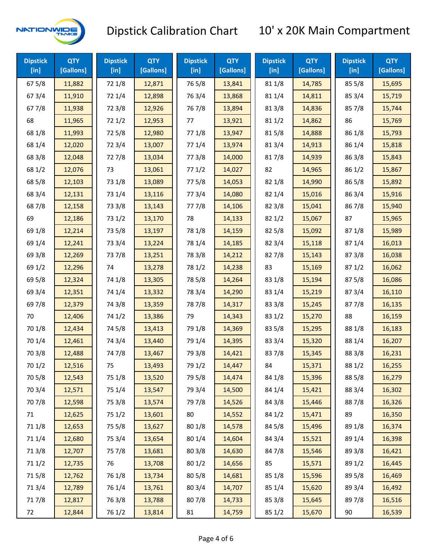

| <b>Dipstick</b><br>[in] | <b>QTY</b><br>[Gallons] | <b>Dipstick</b><br>$[$ in] | <b>QTY</b><br>[Gallons] | <b>Dipstick</b><br>$[$ in] | <b>QTY</b><br>[Gallons] | <b>Dipstick</b><br>$[$ in] | <b>QTY</b><br>[Gallons] | <b>Dipstick</b><br>[in] | <b>QTY</b><br>[Gallons] |
|-------------------------|-------------------------|----------------------------|-------------------------|----------------------------|-------------------------|----------------------------|-------------------------|-------------------------|-------------------------|
| 67 5/8                  | 11,882                  | 72 1/8                     | 12,871                  | 765/8                      | 13,841                  | 81 1/8                     | 14,785                  | 85 5/8                  | 15,695                  |
| 67 3/4                  | 11,910                  | 72 1/4                     | 12,898                  | 763/4                      | 13,868                  | 81 1/4                     | 14,811                  | 85 3/4                  | 15,719                  |
| 677/8                   | 11,938                  | 72 3/8                     | 12,926                  | 767/8                      | 13,894                  | 81 3/8                     | 14,836                  | 857/8                   | 15,744                  |
| 68                      | 11,965                  | 72 1/2                     | 12,953                  | 77                         | 13,921                  | 811/2                      | 14,862                  | 86                      | 15,769                  |
| 68 1/8                  | 11,993                  | 725/8                      | 12,980                  | 77 1/8                     | 13,947                  | 815/8                      | 14,888                  | 86 1/8                  | 15,793                  |
| 68 1/4                  | 12,020                  | 72 3/4                     | 13,007                  | 77 1/4                     | 13,974                  | 813/4                      | 14,913                  | 86 1/4                  | 15,818                  |
| 68 3/8                  | 12,048                  | 727/8                      | 13,034                  | 77 3/8                     | 14,000                  | 817/8                      | 14,939                  | 86 3/8                  | 15,843                  |
| 68 1/2                  | 12,076                  | 73                         | 13,061                  | 771/2                      | 14,027                  | 82                         | 14,965                  | 86 1/2                  | 15,867                  |
| 68 5/8                  | 12,103                  | 73 1/8                     | 13,089                  | 775/8                      | 14,053                  | 82 1/8                     | 14,990                  | 86 5/8                  | 15,892                  |
| 68 3/4                  | 12,131                  | 73 1/4                     | 13,116                  | 773/4                      | 14,080                  | 82 1/4                     | 15,016                  | 863/4                   | 15,916                  |
| 687/8                   | 12,158                  | 73 3/8                     | 13,143                  | 777/8                      | 14,106                  | 82 3/8                     | 15,041                  | 867/8                   | 15,940                  |
| 69                      | 12,186                  | 73 1/2                     | 13,170                  | 78                         | 14,133                  | 821/2                      | 15,067                  | 87                      | 15,965                  |
|                         |                         |                            |                         |                            |                         |                            |                         |                         |                         |
| 69 1/8                  | 12,214                  | 73 5/8                     | 13,197                  | 78 1/8                     | 14,159                  | 82 5/8                     | 15,092                  | 871/8                   | 15,989                  |
| 69 1/4                  | 12,241                  | 73 3/4                     | 13,224                  | 78 1/4                     | 14,185                  | 82 3/4                     | 15,118                  | 871/4                   | 16,013                  |
| 69 3/8                  | 12,269                  | 737/8                      | 13,251                  | 78 3/8                     | 14,212                  | 827/8                      | 15,143                  | 87 3/8                  | 16,038                  |
| 69 1/2                  | 12,296                  | 74                         | 13,278                  | 78 1/2                     | 14,238                  | 83                         | 15,169                  | 871/2                   | 16,062                  |
| 69 5/8                  | 12,324                  | 74 1/8                     | 13,305                  | 78 5/8                     | 14,264                  | 83 1/8                     | 15,194                  | 875/8                   | 16,086                  |
| 69 3/4                  | 12,351                  | 74 1/4                     | 13,332                  | 78 3/4                     | 14,290                  | 83 1/4                     | 15,219                  | 87 3/4                  | 16,110                  |
| 697/8                   | 12,379                  | 74 3/8                     | 13,359                  | 787/8                      | 14,317                  | 83 3/8                     | 15,245                  | 877/8                   | 16,135                  |
| 70                      | 12,406                  | 74 1/2                     | 13,386                  | 79                         | 14,343                  | 83 1/2                     | 15,270                  | 88                      | 16,159                  |
| 70 1/8                  | 12,434                  | 74 5/8                     | 13,413                  | 79 1/8                     | 14,369                  | 83 5/8                     | 15,295                  | 88 1/8                  | 16,183                  |
| 70 1/4                  | 12,461                  | 74 3/4                     | 13,440                  | 79 1/4                     | 14,395                  | 83 3/4                     | 15,320                  | 88 1/4                  | 16,207                  |
| 70 3/8                  | 12,488                  | 747/8                      | 13,467                  | 79 3/8                     | 14,421                  | 837/8                      | 15,345                  | 88 3/8                  | 16,231                  |
| 70 1/2                  | 12,516                  | 75                         | 13,493                  | 79 1/2                     | 14,447                  | 84                         | 15,371                  | 88 1/2                  | 16,255                  |
| 70 5/8                  | 12,543                  | 75 1/8                     | 13,520                  | 79 5/8                     | 14,474                  | 84 1/8                     | 15,396                  | 88 5/8                  | 16,279                  |
| 70 3/4                  | 12,571                  | 75 1/4                     | 13,547                  | 79 3/4                     | 14,500                  | 84 1/4                     | 15,421                  | 88 3/4                  | 16,302                  |
| 70 7/8                  | 12,598                  | 75 3/8                     | 13,574                  | 79 7/8                     | 14,526                  | 84 3/8                     | 15,446                  | 887/8                   | 16,326                  |
| 71                      | 12,625                  | 75 1/2                     | 13,601                  | 80                         | 14,552                  | 84 1/2                     | 15,471                  | 89                      | 16,350                  |
| 71 1/8                  | 12,653                  | 75 5/8                     | 13,627                  | 80 1/8                     | 14,578                  | 84 5/8                     | 15,496                  | 89 1/8                  | 16,374                  |
| 71 1/4                  | 12,680                  | 75 3/4                     | 13,654                  | 80 1/4                     | 14,604                  | 84 3/4                     | 15,521                  | 89 1/4                  | 16,398                  |
| 713/8                   | 12,707                  | 75 7/8                     | 13,681                  | 803/8                      | 14,630                  | 847/8                      | 15,546                  | 89 3/8                  | 16,421                  |
| 71 1/2                  | 12,735                  | 76                         | 13,708                  | 80 1/2                     | 14,656                  | 85                         | 15,571                  | 89 1/2                  | 16,445                  |
| 715/8                   | 12,762                  | 76 1/8                     | 13,734                  | 80 5/8                     | 14,681                  | 85 1/8                     | 15,596                  | 89 5/8                  | 16,469                  |
| 713/4                   | 12,789                  | 76 1/4                     | 13,761                  | 80 3/4                     | 14,707                  | 85 1/4                     | 15,620                  | 89 3/4                  | 16,492                  |
| 717/8                   | 12,817                  | 763/8                      | 13,788                  | 807/8                      | 14,733                  | 85 3/8                     | 15,645                  | 897/8                   | 16,516                  |
| 72                      | 12,844                  | 76 1/2                     | 13,814                  | 81                         | 14,759                  | 85 1/2                     | 15,670                  | 90                      | 16,539                  |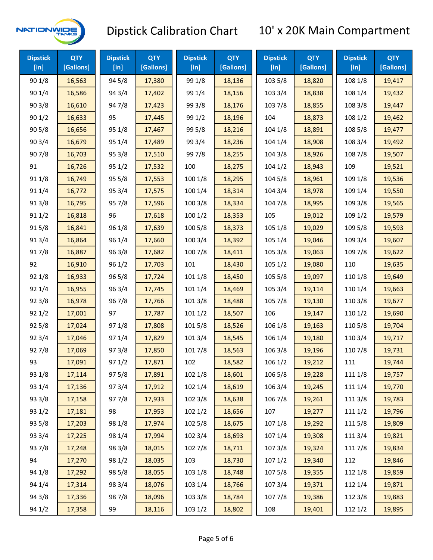

| <b>Dipstick</b><br>[in] | <b>QTY</b><br>[Gallons] | <b>Dipstick</b><br>[in] | <b>QTY</b><br>[Gallons] | <b>Dipstick</b><br>[in] | <b>QTY</b><br>[Gallons] | <b>Dipstick</b><br>[in] | <b>QTY</b><br>[Gallons] | <b>Dipstick</b><br>[in] | <b>QTY</b><br>[Gallons] |
|-------------------------|-------------------------|-------------------------|-------------------------|-------------------------|-------------------------|-------------------------|-------------------------|-------------------------|-------------------------|
| 90 1/8                  | 16,563                  | 94 5/8                  | 17,380                  | 99 1/8                  | 18,136                  | 103 5/8                 | 18,820                  | 108 1/8                 | 19,417                  |
| 90 1/4                  | 16,586                  | 94 3/4                  | 17,402                  | 99 1/4                  | 18,156                  | 103 3/4                 | 18,838                  | 108 1/4                 | 19,432                  |
| 903/8                   | 16,610                  | 947/8                   | 17,423                  | 99 3/8                  | 18,176                  | 103 7/8                 | 18,855                  | 108 3/8                 | 19,447                  |
| 901/2                   | 16,633                  | 95                      | 17,445                  | 99 1/2                  | 18,196                  | 104                     | 18,873                  | 108 1/2                 | 19,462                  |
| 905/8                   | 16,656                  | 95 1/8                  | 17,467                  | 99 5/8                  | 18,216                  | 104 1/8                 | 18,891                  | 108 5/8                 | 19,477                  |
| 90 3/4                  | 16,679                  | 95 1/4                  | 17,489                  | 99 3/4                  | 18,236                  | 104 1/4                 | 18,908                  | 108 3/4                 | 19,492                  |
| 907/8                   | 16,703                  | 95 3/8                  | 17,510                  | 997/8                   | 18,255                  | 104 3/8                 | 18,926                  | 108 7/8                 | 19,507                  |
| 91                      | 16,726                  | 95 1/2                  | 17,532                  | 100                     | 18,275                  | 1041/2                  | 18,943                  | 109                     | 19,521                  |
| 91 1/8                  | 16,749                  | 95 5/8                  | 17,553                  | 100 1/8                 | 18,295                  | 104 5/8                 | 18,961                  | 109 1/8                 | 19,536                  |
| 91 1/4                  | 16,772                  | 95 3/4                  | 17,575                  | 100 1/4                 | 18,314                  | 104 3/4                 | 18,978                  | 109 1/4                 | 19,550                  |
| 913/8                   | 16,795                  | 95 7/8                  | 17,596                  | 100 3/8                 | 18,334                  | 104 7/8                 | 18,995                  | 109 3/8                 | 19,565                  |
| 911/2                   | 16,818                  | 96                      | 17,618                  | 1001/2                  | 18,353                  | 105                     | 19,012                  | 109 1/2                 | 19,579                  |
| 915/8                   | 16,841                  | 96 1/8                  | 17,639                  | 100 5/8                 | 18,373                  | 105 1/8                 | 19,029                  | 109 5/8                 | 19,593                  |
| 91 3/4                  | 16,864                  | 96 1/4                  | 17,660                  | 100 3/4                 | 18,392                  | 105 1/4                 | 19,046                  | 109 3/4                 | 19,607                  |
| 917/8                   | 16,887                  | 963/8                   | 17,682                  | 100 7/8                 | 18,411                  | 105 3/8                 | 19,063                  | 109 7/8                 | 19,622                  |
| 92                      | 16,910                  | 96 1/2                  | 17,703                  | 101                     | 18,430                  | 105 1/2                 | 19,080                  | 110                     | 19,635                  |
| 92 1/8                  | 16,933                  | 96 5/8                  | 17,724                  | 101 1/8                 | 18,450                  | 105 5/8                 | 19,097                  | 110 1/8                 | 19,649                  |
| 92 1/4                  | 16,955                  | 96 3/4                  | 17,745                  | 101 1/4                 | 18,469                  | 105 3/4                 | 19,114                  | 110 1/4                 | 19,663                  |
| 92 3/8                  | 16,978                  | 967/8                   | 17,766                  | 101 3/8                 | 18,488                  | 105 7/8                 | 19,130                  | 110 3/8                 | 19,677                  |
| 921/2                   | 17,001                  | 97                      | 17,787                  | 1011/2                  | 18,507                  | 106                     | 19,147                  | 110 1/2                 | 19,690                  |
| 92 5/8                  | 17,024                  | 97 1/8                  | 17,808                  | 101 5/8                 | 18,526                  | 106 1/8                 | 19,163                  | 110 5/8                 | 19,704                  |
| 92 3/4                  | 17,046                  | 97 1/4                  | 17,829                  | 101 3/4                 | 18,545                  | 106 1/4                 | 19,180                  | 110 3/4                 | 19,717                  |
| 927/8                   | 17,069                  | 97 3/8                  | 17,850                  | 101 7/8                 | 18,563                  | 106 3/8                 | 19,196                  | 110 7/8                 | 19,731                  |
| 93                      | 17,091                  | 971/2                   | 17,871                  | 102                     | 18,582                  | 106 1/2                 | 19,212                  | 111                     | 19,744                  |
| 93 1/8                  | 17,114                  | 97 5/8                  | 17,891                  | 102 1/8                 | 18,601                  | 106 5/8                 | 19,228                  | 111 1/8                 | 19,757                  |
| 93 1/4                  | 17,136                  | 973/4                   | 17,912                  | 102 1/4                 | 18,619                  | 106 3/4                 | 19,245                  | 111 1/4                 | 19,770                  |
| 93 3/8                  | 17,158                  | 977/8                   | 17,933                  | 102 3/8                 | 18,638                  | 106 7/8                 | 19,261                  | 111 3/8                 | 19,783                  |
| 93 1/2                  | 17,181                  | 98                      | 17,953                  | 1021/2                  | 18,656                  | 107                     | 19,277                  | 111 1/2                 | 19,796                  |
| 93 5/8                  | 17,203                  | 98 1/8                  | 17,974                  | 102 5/8                 | 18,675                  | 107 1/8                 | 19,292                  | 111 5/8                 | 19,809                  |
| 93 3/4                  | 17,225                  | 98 1/4                  | 17,994                  | 102 3/4                 | 18,693                  | 107 1/4                 | 19,308                  | 111 3/4                 | 19,821                  |
| 937/8                   | 17,248                  | 98 3/8                  | 18,015                  | 102 7/8                 | 18,711                  | 1073/8                  | 19,324                  | 111 7/8                 | 19,834                  |
| 94                      | 17,270                  | 98 1/2                  | 18,035                  | 103                     | 18,730                  | 1071/2                  | 19,340                  | 112                     | 19,846                  |
| 94 1/8                  | 17,292                  | 98 5/8                  | 18,055                  | 103 1/8                 | 18,748                  | 1075/8                  | 19,355                  | 112 1/8                 | 19,859                  |
| 94 1/4                  | 17,314                  | 98 3/4                  | 18,076                  | 103 1/4                 | 18,766                  | 107 3/4                 | 19,371                  | 112 1/4                 | 19,871                  |
| 94 3/8                  | 17,336                  | 987/8                   | 18,096                  | 103 3/8                 | 18,784                  | 1077/8                  | 19,386                  | 112 3/8                 | 19,883                  |
| 94 1/2                  | 17,358                  | 99                      | 18,116                  | 103 1/2                 | 18,802                  | 108                     | 19,401                  | 112 1/2                 | 19,895                  |